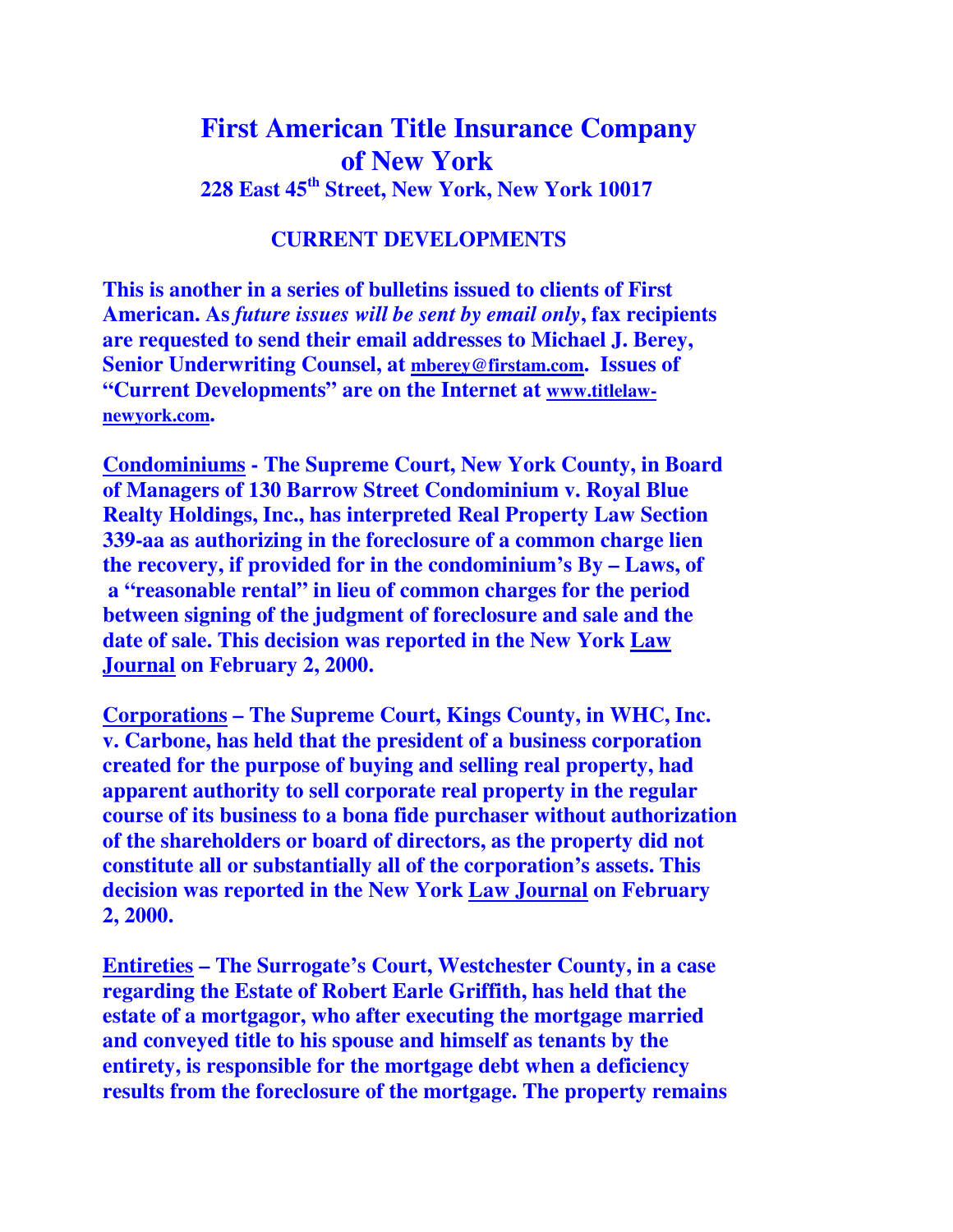## **First American Title Insurance Company of New York 228 East 45th Street, New York, New York 10017**

## **CURRENT DEVELOPMENTS**

**This is another in a series of bulletins issued to clients of First American. As** *future issues will be sent by email only***, fax recipients are requested to send their email addresses to Michael J. Berey, Senior Underwriting Counsel, at mberey@firstam.com. Issues of "Current Developments" are on the Internet at www.titlelawnewyork.com.** 

**Condominiums - The Supreme Court, New York County, in Board of Managers of 130 Barrow Street Condominium v. Royal Blue Realty Holdings, Inc., has interpreted Real Property Law Section 339-aa as authorizing in the foreclosure of a common charge lien the recovery, if provided for in the condominium's By – Laws, of a "reasonable rental" in lieu of common charges for the period between signing of the judgment of foreclosure and sale and the date of sale. This decision was reported in the New York Law Journal on February 2, 2000.** 

**Corporations – The Supreme Court, Kings County, in WHC, Inc. v. Carbone, has held that the president of a business corporation created for the purpose of buying and selling real property, had apparent authority to sell corporate real property in the regular course of its business to a bona fide purchaser without authorization of the shareholders or board of directors, as the property did not constitute all or substantially all of the corporation's assets. This decision was reported in the New York Law Journal on February 2, 2000.** 

**Entireties – The Surrogate's Court, Westchester County, in a case regarding the Estate of Robert Earle Griffith, has held that the estate of a mortgagor, who after executing the mortgage married and conveyed title to his spouse and himself as tenants by the entirety, is responsible for the mortgage debt when a deficiency results from the foreclosure of the mortgage. The property remains**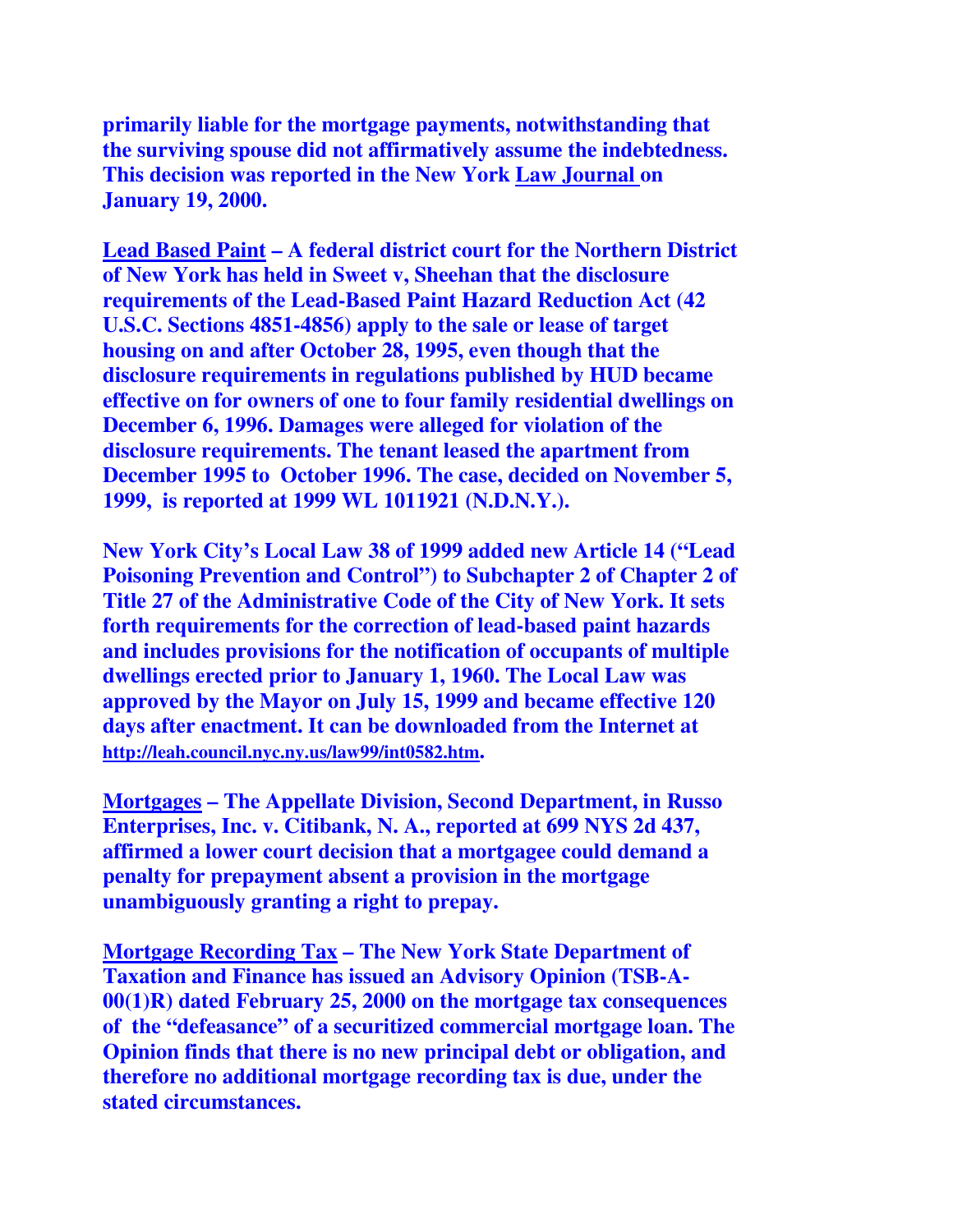**primarily liable for the mortgage payments, notwithstanding that the surviving spouse did not affirmatively assume the indebtedness. This decision was reported in the New York Law Journal on January 19, 2000.** 

**Lead Based Paint – A federal district court for the Northern District of New York has held in Sweet v, Sheehan that the disclosure requirements of the Lead-Based Paint Hazard Reduction Act (42 U.S.C. Sections 4851-4856) apply to the sale or lease of target housing on and after October 28, 1995, even though that the disclosure requirements in regulations published by HUD became effective on for owners of one to four family residential dwellings on December 6, 1996. Damages were alleged for violation of the disclosure requirements. The tenant leased the apartment from December 1995 to October 1996. The case, decided on November 5, 1999, is reported at 1999 WL 1011921 (N.D.N.Y.).** 

**New York City's Local Law 38 of 1999 added new Article 14 ("Lead Poisoning Prevention and Control") to Subchapter 2 of Chapter 2 of Title 27 of the Administrative Code of the City of New York. It sets forth requirements for the correction of lead-based paint hazards and includes provisions for the notification of occupants of multiple dwellings erected prior to January 1, 1960. The Local Law was approved by the Mayor on July 15, 1999 and became effective 120 days after enactment. It can be downloaded from the Internet at http://leah.council.nyc.ny.us/law99/int0582.htm.** 

**Mortgages – The Appellate Division, Second Department, in Russo Enterprises, Inc. v. Citibank, N. A., reported at 699 NYS 2d 437, affirmed a lower court decision that a mortgagee could demand a penalty for prepayment absent a provision in the mortgage unambiguously granting a right to prepay.** 

**Mortgage Recording Tax – The New York State Department of Taxation and Finance has issued an Advisory Opinion (TSB-A-00(1)R) dated February 25, 2000 on the mortgage tax consequences of the "defeasance" of a securitized commercial mortgage loan. The Opinion finds that there is no new principal debt or obligation, and therefore no additional mortgage recording tax is due, under the stated circumstances.**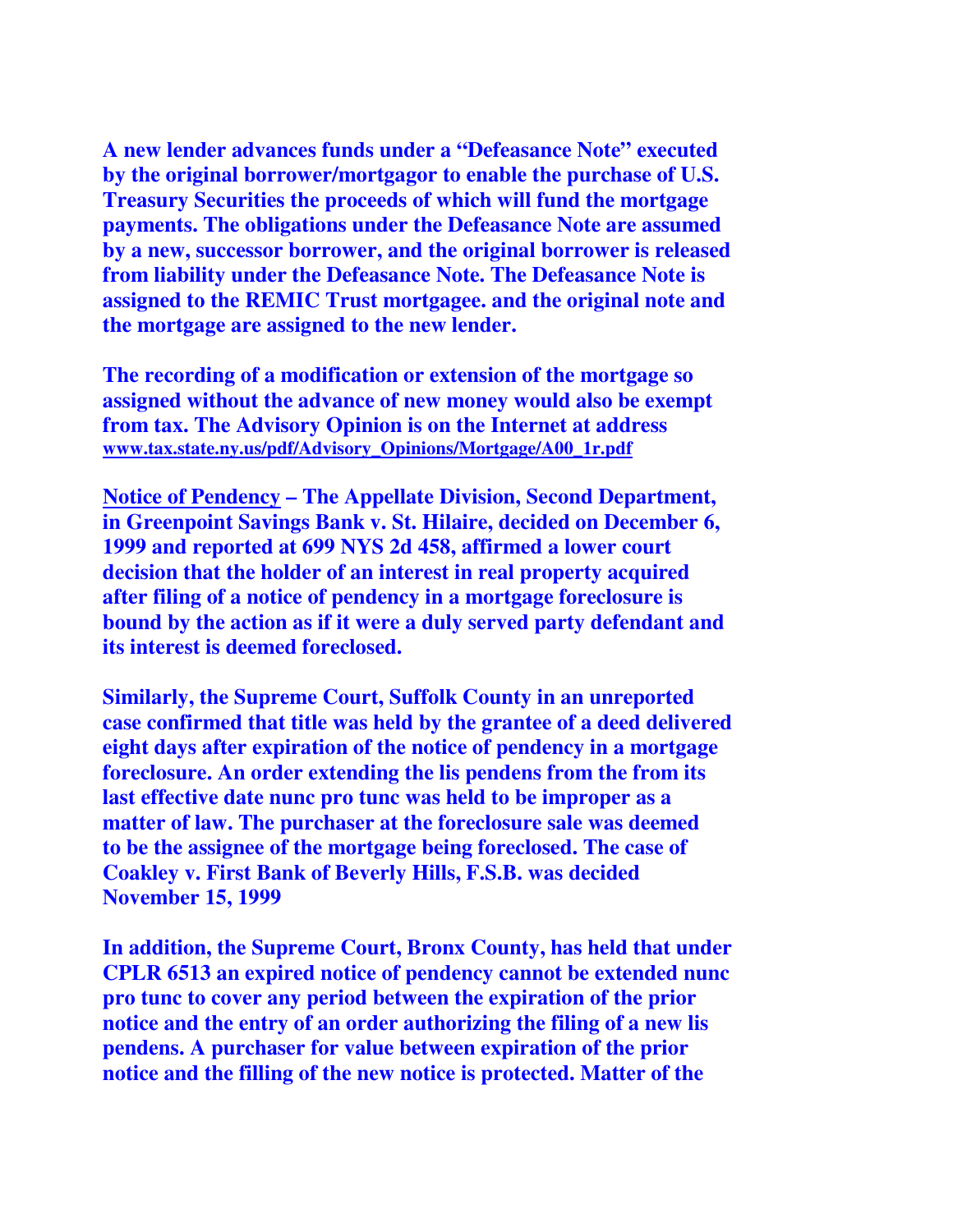**A new lender advances funds under a "Defeasance Note" executed by the original borrower/mortgagor to enable the purchase of U.S. Treasury Securities the proceeds of which will fund the mortgage payments. The obligations under the Defeasance Note are assumed by a new, successor borrower, and the original borrower is released from liability under the Defeasance Note. The Defeasance Note is assigned to the REMIC Trust mortgagee. and the original note and the mortgage are assigned to the new lender.** 

**The recording of a modification or extension of the mortgage so assigned without the advance of new money would also be exempt from tax. The Advisory Opinion is on the Internet at address www.tax.state.ny.us/pdf/Advisory\_Opinions/Mortgage/A00\_1r.pdf**

**Notice of Pendency – The Appellate Division, Second Department, in Greenpoint Savings Bank v. St. Hilaire, decided on December 6, 1999 and reported at 699 NYS 2d 458, affirmed a lower court decision that the holder of an interest in real property acquired after filing of a notice of pendency in a mortgage foreclosure is bound by the action as if it were a duly served party defendant and its interest is deemed foreclosed.** 

**Similarly, the Supreme Court, Suffolk County in an unreported case confirmed that title was held by the grantee of a deed delivered eight days after expiration of the notice of pendency in a mortgage foreclosure. An order extending the lis pendens from the from its last effective date nunc pro tunc was held to be improper as a matter of law. The purchaser at the foreclosure sale was deemed to be the assignee of the mortgage being foreclosed. The case of Coakley v. First Bank of Beverly Hills, F.S.B. was decided November 15, 1999** 

**In addition, the Supreme Court, Bronx County, has held that under CPLR 6513 an expired notice of pendency cannot be extended nunc pro tunc to cover any period between the expiration of the prior notice and the entry of an order authorizing the filing of a new lis pendens. A purchaser for value between expiration of the prior notice and the filling of the new notice is protected. Matter of the**